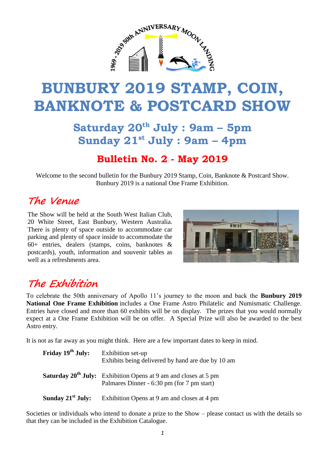

# **BUNBURY 2019 STAMP, COIN, BANKNOTE & POSTCARD SHOW**

**Saturday 20th July : 9am – 5pm Sunday 21st July : 9am – 4pm**

#### **Bulletin No. 2 - May 2019**

Welcome to the second bulletin for the Bunbury 2019 Stamp, Coin, Banknote & Postcard Show. Bunbury 2019 is a national One Frame Exhibition.

### **The Venue**

The Show will be held at the South West Italian Club, 20 White Street, East Bunbury, Western Australia. There is plenty of space outside to accommodate car parking and plenty of space inside to accommodate the 60+ entries, dealers (stamps, coins, banknotes & postcards), youth, information and souvenir tables as well as a refreshments area.



# **The Exhibition**

To celebrate the 50th anniversary of Apollo 11's journey to the moon and back the **Bunbury 2019 National One Frame Exhibition** includes a One Frame Astro Philatelic and Numismatic Challenge. Entries have closed and more than 60 exhibits will be on display. The prizes that you would normally expect at a One Frame Exhibition will be on offer. A Special Prize will also be awarded to the best Astro entry.

It is not as far away as you might think. Here are a few important dates to keep in mind.

| Friday 19 <sup>th</sup> July: | Exhibition set-up<br>Exhibits being delivered by hand are due by 10 am                                                          |
|-------------------------------|---------------------------------------------------------------------------------------------------------------------------------|
|                               | <b>Saturday 20<sup>th</sup> July:</b> Exhibition Opens at 9 am and closes at 5 pm<br>Palmares Dinner - 6:30 pm (for 7 pm start) |
| Sunday $21st$ July:           | Exhibition Opens at 9 am and closes at 4 pm                                                                                     |

Societies or individuals who intend to donate a prize to the Show – please contact us with the details so that they can be included in the Exhibition Catalogue.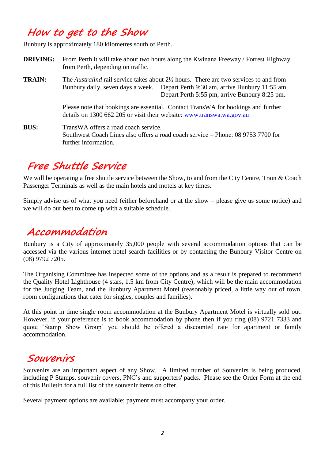### **How to get to the Show**

Bunbury is approximately 180 kilometres south of Perth.

- **DRIVING:** From Perth it will take about two hours along the Kwinana Freeway / Forrest Highway from Perth, depending on traffic.
- **TRAIN:** The *Australind* rail service takes about 2½ hours. There are two services to and from Bunbury daily, seven days a week. Depart Perth 9:30 am, arrive Bunbury 11:55 am. Depart Perth 5:55 pm, arrive Bunbury 8:25 pm.

Please note that bookings are essential. Contact TransWA for bookings and further details on 1300 662 205 or visit their website: [www.transwa.wa.gov.au](http://www.transwa.wa.gov.au/)

**BUS:** TransWA offers a road coach service. Southwest Coach Lines also offers a road coach service – Phone: 08 9753 7700 for further information.

## **Free Shuttle Service**

We will be operating a free shuttle service between the Show, to and from the City Centre, Train & Coach Passenger Terminals as well as the main hotels and motels at key times.

Simply advise us of what you need (either beforehand or at the show – please give us some notice) and we will do our best to come up with a suitable schedule.

### **Accommodation**

Bunbury is a City of approximately 35,000 people with several accommodation options that can be accessed via the various internet hotel search facilities or by contacting the Bunbury Visitor Centre on (08) 9792 7205.

The Organising Committee has inspected some of the options and as a result is prepared to recommend the Quality Hotel Lighthouse (4 stars, 1.5 km from City Centre), which will be the main accommodation for the Judging Team, and the Bunbury Apartment Motel (reasonably priced, a little way out of town, room configurations that cater for singles, couples and families).

At this point in time single room accommodation at the Bunbury Apartment Motel is virtually sold out. However, if your preference is to book accommodation by phone then if you ring (08) 9721 7333 and quote 'Stamp Show Group' you should be offered a discounted rate for apartment or family accommodation.

#### **Souvenirs**

Souvenirs are an important aspect of any Show. A limited number of Souvenirs is being produced, including P Stamps, souvenir covers, PNC's and supporters' packs. Please see the Order Form at the end of this Bulletin for a full list of the souvenir items on offer.

Several payment options are available; payment must accompany your order.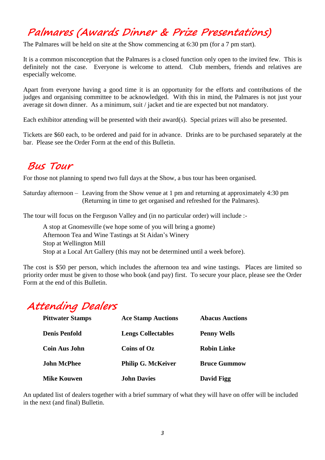# **Palmares (Awards Dinner & Prize Presentations)**

The Palmares will be held on site at the Show commencing at 6:30 pm (for a 7 pm start).

It is a common misconception that the Palmares is a closed function only open to the invited few. This is definitely not the case. Everyone is welcome to attend. Club members, friends and relatives are especially welcome.

Apart from everyone having a good time it is an opportunity for the efforts and contributions of the judges and organising committee to be acknowledged. With this in mind, the Palmares is not just your average sit down dinner. As a minimum, suit / jacket and tie are expected but not mandatory.

Each exhibitor attending will be presented with their award(s). Special prizes will also be presented.

Tickets are \$60 each, to be ordered and paid for in advance. Drinks are to be purchased separately at the bar. Please see the Order Form at the end of this Bulletin.

### **Bus Tour**

For those not planning to spend two full days at the Show, a bus tour has been organised.

Saturday afternoon – Leaving from the Show venue at 1 pm and returning at approximately 4:30 pm (Returning in time to get organised and refreshed for the Palmares).

The tour will focus on the Ferguson Valley and (in no particular order) will include :-

A stop at Gnomesville (we hope some of you will bring a gnome) Afternoon Tea and Wine Tastings at St Aidan's Winery Stop at Wellington Mill Stop at a Local Art Gallery (this may not be determined until a week before).

The cost is \$50 per person, which includes the afternoon tea and wine tastings. Places are limited so priority order must be given to those who book (and pay) first. To secure your place, please see the Order Form at the end of this Bulletin.

# **Attending Dealers**

| <b>Pittwater Stamps</b> | <b>Ace Stamp Auctions</b> | <b>Abacus Auctions</b> |
|-------------------------|---------------------------|------------------------|
| <b>Denis Penfold</b>    | <b>Lengs Collectables</b> | <b>Penny Wells</b>     |
| <b>Coin Aus John</b>    | Coins of Oz               | <b>Robin Linke</b>     |
| <b>John McPhee</b>      | <b>Philip G. McKeiver</b> | <b>Bruce Gummow</b>    |
| <b>Mike Kouwen</b>      | <b>John Davies</b>        | David Figg             |

An updated list of dealers together with a brief summary of what they will have on offer will be included in the next (and final) Bulletin.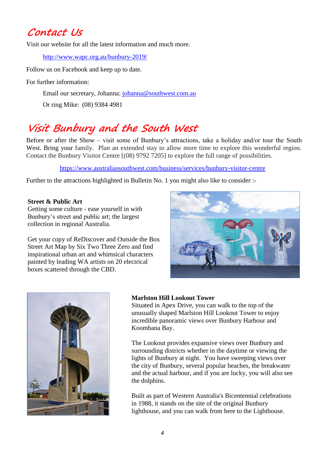### **Contact Us**

Visit our website for all the latest information and much more.

<http://www.wapc.org.au/bunbury-2019/>

Follow us on Facebook and keep up to date.

For further information:

Email our secretary, Johanna: [johanna@southwest.com.au](mailto:johanna@southwest.com.au)

Or ring Mike: (08) 9384 4981

# **Visit Bunbury and the South West**

Before or after the Show – visit some of Bunbury's attractions, take a holiday and/or tour the South West. Bring your family. Plan an extended stay to allow more time to explore this wonderful region. Contact the Bunbury Visitor Centre [(08) 9792 7205] to explore the full range of possibilities.

<https://www.australiassouthwest.com/business/services/bunbury-visitor-centre>

Further to the attractions highlighted in Bulletin No. 1 you might also like to consider :-

#### **Street & Public Art**

Getting some culture - ease yourself in with Bunbury's street and public art; the largest collection in regional Australia.

Get your copy of ReDiscover and Outside the Box Street Art Map by Six Two Three Zero and find inspirational urban art and whimsical characters painted by leading WA artists on 20 electrical boxes scattered through the CBD.





#### **Marlston Hill Lookout Tower**

Situated in Apex Drive, you can walk to the top of the unusually shaped Marlston Hill Lookout Tower to enjoy incredible panoramic views over Bunbury Harbour and Koombana Bay.

The Lookout provides expansive views over Bunbury and surrounding districts whether in the daytime or viewing the lights of Bunbury at night. You have sweeping views over the city of Bunbury, several popular beaches, the breakwater and the actual harbour, and if you are lucky, you will also see the dolphins.

Built as part of Western Australia's Bicentennial celebrations in 1988, it stands on the site of the original Bunbury lighthouse, and you can walk from here to the Lighthouse.